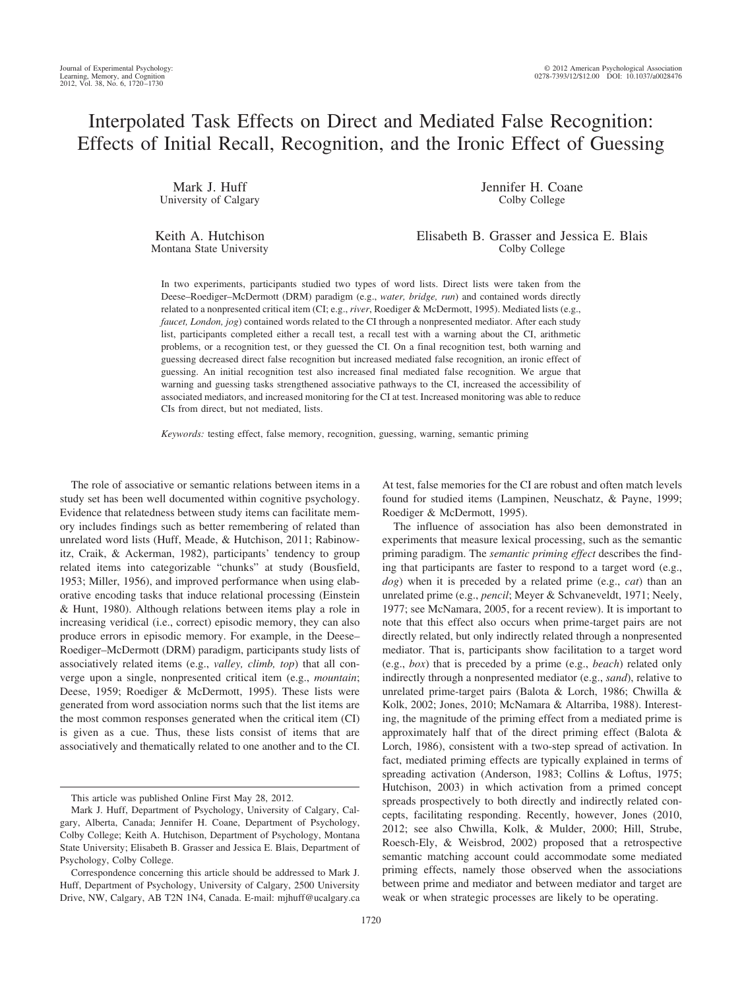# Interpolated Task Effects on Direct and Mediated False Recognition: Effects of Initial Recall, Recognition, and the Ironic Effect of Guessing

Mark J. Huff University of Calgary

Keith A. Hutchison Montana State University Jennifer H. Coane Colby College

Elisabeth B. Grasser and Jessica E. Blais Colby College

In two experiments, participants studied two types of word lists. Direct lists were taken from the Deese–Roediger–McDermott (DRM) paradigm (e.g., *water, bridge, run*) and contained words directly related to a nonpresented critical item (CI; e.g., *river*, Roediger & McDermott, 1995). Mediated lists (e.g., *faucet, London, jog*) contained words related to the CI through a nonpresented mediator. After each study list, participants completed either a recall test, a recall test with a warning about the CI, arithmetic problems, or a recognition test, or they guessed the CI. On a final recognition test, both warning and guessing decreased direct false recognition but increased mediated false recognition, an ironic effect of guessing. An initial recognition test also increased final mediated false recognition. We argue that warning and guessing tasks strengthened associative pathways to the CI, increased the accessibility of associated mediators, and increased monitoring for the CI at test. Increased monitoring was able to reduce CIs from direct, but not mediated, lists.

*Keywords:* testing effect, false memory, recognition, guessing, warning, semantic priming

The role of associative or semantic relations between items in a study set has been well documented within cognitive psychology. Evidence that relatedness between study items can facilitate memory includes findings such as better remembering of related than unrelated word lists (Huff, Meade, & Hutchison, 2011; Rabinowitz, Craik, & Ackerman, 1982), participants' tendency to group related items into categorizable "chunks" at study (Bousfield, 1953; Miller, 1956), and improved performance when using elaborative encoding tasks that induce relational processing (Einstein & Hunt, 1980). Although relations between items play a role in increasing veridical (i.e., correct) episodic memory, they can also produce errors in episodic memory. For example, in the Deese– Roediger–McDermott (DRM) paradigm, participants study lists of associatively related items (e.g., *valley, climb, top*) that all converge upon a single, nonpresented critical item (e.g., *mountain*; Deese, 1959; Roediger & McDermott, 1995). These lists were generated from word association norms such that the list items are the most common responses generated when the critical item (CI) is given as a cue. Thus, these lists consist of items that are associatively and thematically related to one another and to the CI.

At test, false memories for the CI are robust and often match levels found for studied items (Lampinen, Neuschatz, & Payne, 1999; Roediger & McDermott, 1995).

The influence of association has also been demonstrated in experiments that measure lexical processing, such as the semantic priming paradigm. The *semantic priming effect* describes the finding that participants are faster to respond to a target word (e.g., *dog*) when it is preceded by a related prime (e.g., *cat*) than an unrelated prime (e.g., *pencil*; Meyer & Schvaneveldt, 1971; Neely, 1977; see McNamara, 2005, for a recent review). It is important to note that this effect also occurs when prime-target pairs are not directly related, but only indirectly related through a nonpresented mediator. That is, participants show facilitation to a target word (e.g., *box*) that is preceded by a prime (e.g., *beach*) related only indirectly through a nonpresented mediator (e.g., *sand*), relative to unrelated prime-target pairs (Balota & Lorch, 1986; Chwilla & Kolk, 2002; Jones, 2010; McNamara & Altarriba, 1988). Interesting, the magnitude of the priming effect from a mediated prime is approximately half that of the direct priming effect (Balota & Lorch, 1986), consistent with a two-step spread of activation. In fact, mediated priming effects are typically explained in terms of spreading activation (Anderson, 1983; Collins & Loftus, 1975; Hutchison, 2003) in which activation from a primed concept spreads prospectively to both directly and indirectly related concepts, facilitating responding. Recently, however, Jones (2010, 2012; see also Chwilla, Kolk, & Mulder, 2000; Hill, Strube, Roesch-Ely, & Weisbrod, 2002) proposed that a retrospective semantic matching account could accommodate some mediated priming effects, namely those observed when the associations between prime and mediator and between mediator and target are weak or when strategic processes are likely to be operating.

This article was published Online First May 28, 2012.

Mark J. Huff, Department of Psychology, University of Calgary, Calgary, Alberta, Canada; Jennifer H. Coane, Department of Psychology, Colby College; Keith A. Hutchison, Department of Psychology, Montana State University; Elisabeth B. Grasser and Jessica E. Blais, Department of Psychology, Colby College.

Correspondence concerning this article should be addressed to Mark J. Huff, Department of Psychology, University of Calgary, 2500 University Drive, NW, Calgary, AB T2N 1N4, Canada. E-mail: mjhuff@ucalgary.ca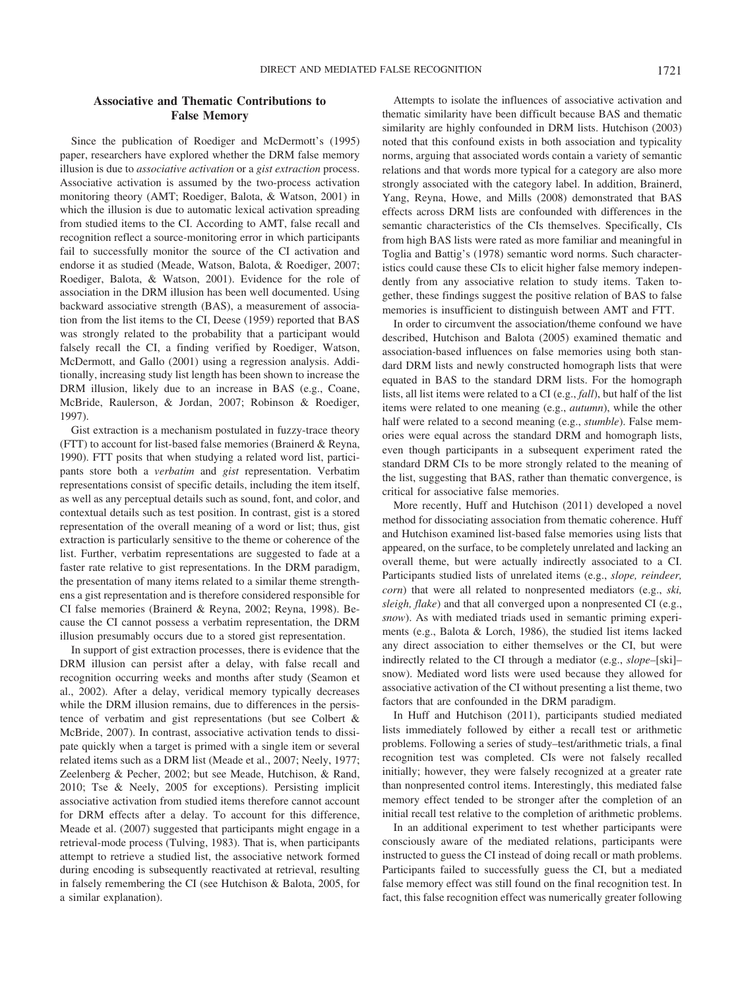## **Associative and Thematic Contributions to False Memory**

Since the publication of Roediger and McDermott's (1995) paper, researchers have explored whether the DRM false memory illusion is due to *associative activation* or a *gist extraction* process. Associative activation is assumed by the two-process activation monitoring theory (AMT; Roediger, Balota, & Watson, 2001) in which the illusion is due to automatic lexical activation spreading from studied items to the CI. According to AMT, false recall and recognition reflect a source-monitoring error in which participants fail to successfully monitor the source of the CI activation and endorse it as studied (Meade, Watson, Balota, & Roediger, 2007; Roediger, Balota, & Watson, 2001). Evidence for the role of association in the DRM illusion has been well documented. Using backward associative strength (BAS), a measurement of association from the list items to the CI, Deese (1959) reported that BAS was strongly related to the probability that a participant would falsely recall the CI, a finding verified by Roediger, Watson, McDermott, and Gallo (2001) using a regression analysis. Additionally, increasing study list length has been shown to increase the DRM illusion, likely due to an increase in BAS (e.g., Coane, McBride, Raulerson, & Jordan, 2007; Robinson & Roediger, 1997).

Gist extraction is a mechanism postulated in fuzzy-trace theory (FTT) to account for list-based false memories (Brainerd & Reyna, 1990). FTT posits that when studying a related word list, participants store both a *verbatim* and *gist* representation. Verbatim representations consist of specific details, including the item itself, as well as any perceptual details such as sound, font, and color, and contextual details such as test position. In contrast, gist is a stored representation of the overall meaning of a word or list; thus, gist extraction is particularly sensitive to the theme or coherence of the list. Further, verbatim representations are suggested to fade at a faster rate relative to gist representations. In the DRM paradigm, the presentation of many items related to a similar theme strengthens a gist representation and is therefore considered responsible for CI false memories (Brainerd & Reyna, 2002; Reyna, 1998). Because the CI cannot possess a verbatim representation, the DRM illusion presumably occurs due to a stored gist representation.

In support of gist extraction processes, there is evidence that the DRM illusion can persist after a delay, with false recall and recognition occurring weeks and months after study (Seamon et al., 2002). After a delay, veridical memory typically decreases while the DRM illusion remains, due to differences in the persistence of verbatim and gist representations (but see Colbert & McBride, 2007). In contrast, associative activation tends to dissipate quickly when a target is primed with a single item or several related items such as a DRM list (Meade et al., 2007; Neely, 1977; Zeelenberg & Pecher, 2002; but see Meade, Hutchison, & Rand, 2010; Tse & Neely, 2005 for exceptions). Persisting implicit associative activation from studied items therefore cannot account for DRM effects after a delay. To account for this difference, Meade et al. (2007) suggested that participants might engage in a retrieval-mode process (Tulving, 1983). That is, when participants attempt to retrieve a studied list, the associative network formed during encoding is subsequently reactivated at retrieval, resulting in falsely remembering the CI (see Hutchison & Balota, 2005, for a similar explanation).

Attempts to isolate the influences of associative activation and thematic similarity have been difficult because BAS and thematic similarity are highly confounded in DRM lists. Hutchison (2003) noted that this confound exists in both association and typicality norms, arguing that associated words contain a variety of semantic relations and that words more typical for a category are also more strongly associated with the category label. In addition, Brainerd, Yang, Reyna, Howe, and Mills (2008) demonstrated that BAS effects across DRM lists are confounded with differences in the semantic characteristics of the CIs themselves. Specifically, CIs from high BAS lists were rated as more familiar and meaningful in Toglia and Battig's (1978) semantic word norms. Such characteristics could cause these CIs to elicit higher false memory independently from any associative relation to study items. Taken together, these findings suggest the positive relation of BAS to false memories is insufficient to distinguish between AMT and FTT.

In order to circumvent the association/theme confound we have described, Hutchison and Balota (2005) examined thematic and association-based influences on false memories using both standard DRM lists and newly constructed homograph lists that were equated in BAS to the standard DRM lists. For the homograph lists, all list items were related to a CI (e.g., *fall*), but half of the list items were related to one meaning (e.g., *autumn*), while the other half were related to a second meaning (e.g., *stumble*). False memories were equal across the standard DRM and homograph lists, even though participants in a subsequent experiment rated the standard DRM CIs to be more strongly related to the meaning of the list, suggesting that BAS, rather than thematic convergence, is critical for associative false memories.

More recently, Huff and Hutchison (2011) developed a novel method for dissociating association from thematic coherence. Huff and Hutchison examined list-based false memories using lists that appeared, on the surface, to be completely unrelated and lacking an overall theme, but were actually indirectly associated to a CI. Participants studied lists of unrelated items (e.g., *slope, reindeer, corn*) that were all related to nonpresented mediators (e.g., *ski, sleigh, flake*) and that all converged upon a nonpresented CI (e.g., *snow*). As with mediated triads used in semantic priming experiments (e.g., Balota & Lorch, 1986), the studied list items lacked any direct association to either themselves or the CI, but were indirectly related to the CI through a mediator (e.g., *slope–*[ski]– snow). Mediated word lists were used because they allowed for associative activation of the CI without presenting a list theme, two factors that are confounded in the DRM paradigm.

In Huff and Hutchison (2011), participants studied mediated lists immediately followed by either a recall test or arithmetic problems. Following a series of study–test/arithmetic trials, a final recognition test was completed. CIs were not falsely recalled initially; however, they were falsely recognized at a greater rate than nonpresented control items. Interestingly, this mediated false memory effect tended to be stronger after the completion of an initial recall test relative to the completion of arithmetic problems.

In an additional experiment to test whether participants were consciously aware of the mediated relations, participants were instructed to guess the CI instead of doing recall or math problems. Participants failed to successfully guess the CI, but a mediated false memory effect was still found on the final recognition test. In fact, this false recognition effect was numerically greater following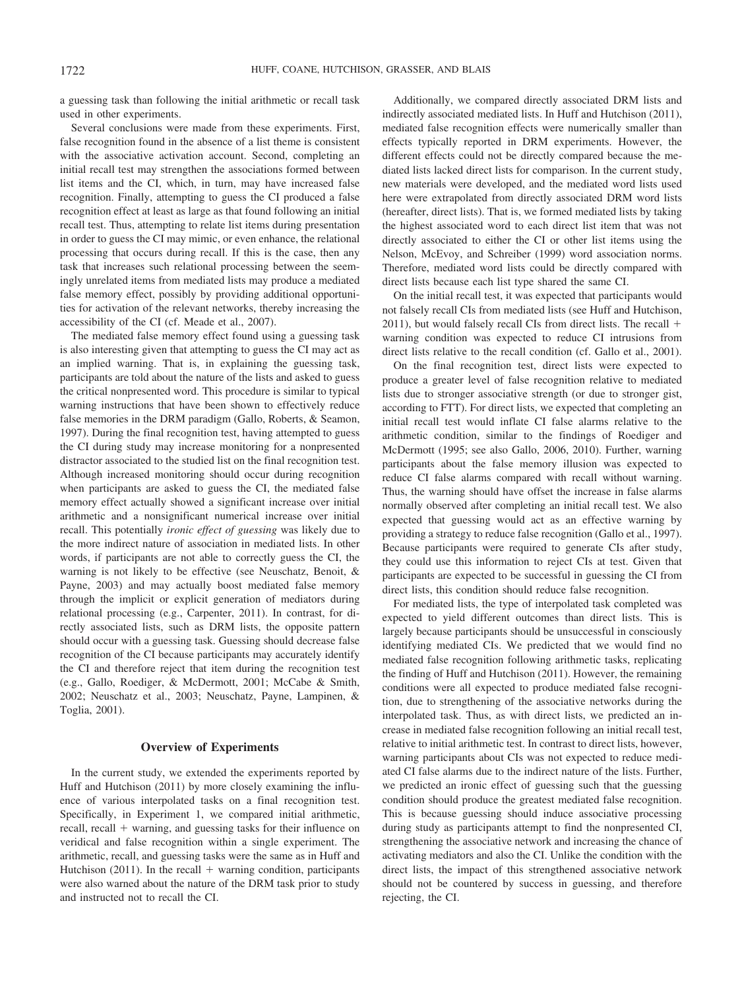a guessing task than following the initial arithmetic or recall task used in other experiments.

Several conclusions were made from these experiments. First, false recognition found in the absence of a list theme is consistent with the associative activation account. Second, completing an initial recall test may strengthen the associations formed between list items and the CI, which, in turn, may have increased false recognition. Finally, attempting to guess the CI produced a false recognition effect at least as large as that found following an initial recall test. Thus, attempting to relate list items during presentation in order to guess the CI may mimic, or even enhance, the relational processing that occurs during recall. If this is the case, then any task that increases such relational processing between the seemingly unrelated items from mediated lists may produce a mediated false memory effect, possibly by providing additional opportunities for activation of the relevant networks, thereby increasing the accessibility of the CI (cf. Meade et al., 2007).

The mediated false memory effect found using a guessing task is also interesting given that attempting to guess the CI may act as an implied warning. That is, in explaining the guessing task, participants are told about the nature of the lists and asked to guess the critical nonpresented word. This procedure is similar to typical warning instructions that have been shown to effectively reduce false memories in the DRM paradigm (Gallo, Roberts, & Seamon, 1997). During the final recognition test, having attempted to guess the CI during study may increase monitoring for a nonpresented distractor associated to the studied list on the final recognition test. Although increased monitoring should occur during recognition when participants are asked to guess the CI, the mediated false memory effect actually showed a significant increase over initial arithmetic and a nonsignificant numerical increase over initial recall. This potentially *ironic effect of guessing* was likely due to the more indirect nature of association in mediated lists. In other words, if participants are not able to correctly guess the CI, the warning is not likely to be effective (see Neuschatz, Benoit, & Payne, 2003) and may actually boost mediated false memory through the implicit or explicit generation of mediators during relational processing (e.g., Carpenter, 2011). In contrast, for directly associated lists, such as DRM lists, the opposite pattern should occur with a guessing task. Guessing should decrease false recognition of the CI because participants may accurately identify the CI and therefore reject that item during the recognition test (e.g., Gallo, Roediger, & McDermott, 2001; McCabe & Smith, 2002; Neuschatz et al., 2003; Neuschatz, Payne, Lampinen, & Toglia, 2001).

#### **Overview of Experiments**

In the current study, we extended the experiments reported by Huff and Hutchison (2011) by more closely examining the influence of various interpolated tasks on a final recognition test. Specifically, in Experiment 1, we compared initial arithmetic, recall, recall  $+$  warning, and guessing tasks for their influence on veridical and false recognition within a single experiment. The arithmetic, recall, and guessing tasks were the same as in Huff and Hutchison  $(2011)$ . In the recall  $+$  warning condition, participants were also warned about the nature of the DRM task prior to study and instructed not to recall the CI.

Additionally, we compared directly associated DRM lists and indirectly associated mediated lists. In Huff and Hutchison (2011), mediated false recognition effects were numerically smaller than effects typically reported in DRM experiments. However, the different effects could not be directly compared because the mediated lists lacked direct lists for comparison. In the current study, new materials were developed, and the mediated word lists used here were extrapolated from directly associated DRM word lists (hereafter, direct lists). That is, we formed mediated lists by taking the highest associated word to each direct list item that was not directly associated to either the CI or other list items using the Nelson, McEvoy, and Schreiber (1999) word association norms. Therefore, mediated word lists could be directly compared with direct lists because each list type shared the same CI.

On the initial recall test, it was expected that participants would not falsely recall CIs from mediated lists (see Huff and Hutchison,  $2011$ ), but would falsely recall CIs from direct lists. The recall  $+$ warning condition was expected to reduce CI intrusions from direct lists relative to the recall condition (cf. Gallo et al., 2001).

On the final recognition test, direct lists were expected to produce a greater level of false recognition relative to mediated lists due to stronger associative strength (or due to stronger gist, according to FTT). For direct lists, we expected that completing an initial recall test would inflate CI false alarms relative to the arithmetic condition, similar to the findings of Roediger and McDermott (1995; see also Gallo, 2006, 2010). Further, warning participants about the false memory illusion was expected to reduce CI false alarms compared with recall without warning. Thus, the warning should have offset the increase in false alarms normally observed after completing an initial recall test. We also expected that guessing would act as an effective warning by providing a strategy to reduce false recognition (Gallo et al., 1997). Because participants were required to generate CIs after study, they could use this information to reject CIs at test. Given that participants are expected to be successful in guessing the CI from direct lists, this condition should reduce false recognition.

For mediated lists, the type of interpolated task completed was expected to yield different outcomes than direct lists. This is largely because participants should be unsuccessful in consciously identifying mediated CIs. We predicted that we would find no mediated false recognition following arithmetic tasks, replicating the finding of Huff and Hutchison (2011). However, the remaining conditions were all expected to produce mediated false recognition, due to strengthening of the associative networks during the interpolated task. Thus, as with direct lists, we predicted an increase in mediated false recognition following an initial recall test, relative to initial arithmetic test. In contrast to direct lists, however, warning participants about CIs was not expected to reduce mediated CI false alarms due to the indirect nature of the lists. Further, we predicted an ironic effect of guessing such that the guessing condition should produce the greatest mediated false recognition. This is because guessing should induce associative processing during study as participants attempt to find the nonpresented CI, strengthening the associative network and increasing the chance of activating mediators and also the CI. Unlike the condition with the direct lists, the impact of this strengthened associative network should not be countered by success in guessing, and therefore rejecting, the CI.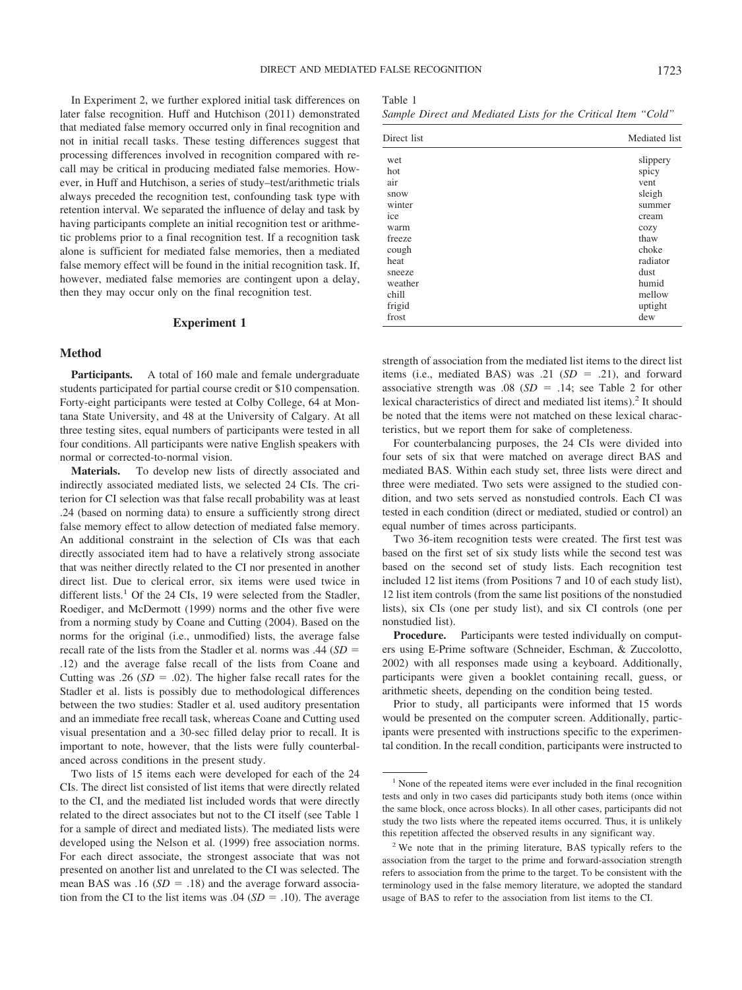In Experiment 2, we further explored initial task differences on later false recognition. Huff and Hutchison (2011) demonstrated that mediated false memory occurred only in final recognition and not in initial recall tasks. These testing differences suggest that processing differences involved in recognition compared with recall may be critical in producing mediated false memories. However, in Huff and Hutchison, a series of study–test/arithmetic trials always preceded the recognition test, confounding task type with retention interval. We separated the influence of delay and task by having participants complete an initial recognition test or arithmetic problems prior to a final recognition test. If a recognition task alone is sufficient for mediated false memories, then a mediated false memory effect will be found in the initial recognition task. If, however, mediated false memories are contingent upon a delay, then they may occur only on the final recognition test.

### **Experiment 1**

### **Method**

**Participants.** A total of 160 male and female undergraduate students participated for partial course credit or \$10 compensation. Forty-eight participants were tested at Colby College, 64 at Montana State University, and 48 at the University of Calgary. At all three testing sites, equal numbers of participants were tested in all four conditions. All participants were native English speakers with normal or corrected-to-normal vision.

**Materials.** To develop new lists of directly associated and indirectly associated mediated lists, we selected 24 CIs. The criterion for CI selection was that false recall probability was at least .24 (based on norming data) to ensure a sufficiently strong direct false memory effect to allow detection of mediated false memory. An additional constraint in the selection of CIs was that each directly associated item had to have a relatively strong associate that was neither directly related to the CI nor presented in another direct list. Due to clerical error, six items were used twice in different lists.<sup>1</sup> Of the 24 CIs, 19 were selected from the Stadler, Roediger, and McDermott (1999) norms and the other five were from a norming study by Coane and Cutting (2004). Based on the norms for the original (i.e., unmodified) lists, the average false recall rate of the lists from the Stadler et al. norms was .44 (*SD* = .12) and the average false recall of the lists from Coane and Cutting was .26 ( $SD = .02$ ). The higher false recall rates for the Stadler et al. lists is possibly due to methodological differences between the two studies: Stadler et al. used auditory presentation and an immediate free recall task, whereas Coane and Cutting used visual presentation and a 30-sec filled delay prior to recall. It is important to note, however, that the lists were fully counterbalanced across conditions in the present study.

Two lists of 15 items each were developed for each of the 24 CIs. The direct list consisted of list items that were directly related to the CI, and the mediated list included words that were directly related to the direct associates but not to the CI itself (see Table 1 for a sample of direct and mediated lists). The mediated lists were developed using the Nelson et al. (1999) free association norms. For each direct associate, the strongest associate that was not presented on another list and unrelated to the CI was selected. The mean BAS was  $.16$  ( $SD = .18$ ) and the average forward association from the CI to the list items was  $.04$  ( $SD = .10$ ). The average

Table 1 *Sample Direct and Mediated Lists for the Critical Item "Cold"*

| Direct list | Mediated list |
|-------------|---------------|
| wet         | slippery      |
| hot         | spicy         |
| air         | vent          |
| snow        | sleigh        |
| winter      | summer        |
| ice         | cream         |
| warm        | cozy          |
| freeze      | thaw          |
| cough       | choke         |
| heat        | radiator      |
| sneeze      | dust          |
| weather     | humid         |
| chill       | mellow        |
| frigid      | uptight       |
| frost       | dew           |

strength of association from the mediated list items to the direct list items (i.e., mediated BAS) was  $.21$  ( $SD = .21$ ), and forward associative strength was  $.08$  ( $SD = .14$ ; see Table 2 for other lexical characteristics of direct and mediated list items). $<sup>2</sup>$  It should</sup> be noted that the items were not matched on these lexical characteristics, but we report them for sake of completeness.

For counterbalancing purposes, the 24 CIs were divided into four sets of six that were matched on average direct BAS and mediated BAS. Within each study set, three lists were direct and three were mediated. Two sets were assigned to the studied condition, and two sets served as nonstudied controls. Each CI was tested in each condition (direct or mediated, studied or control) an equal number of times across participants.

Two 36-item recognition tests were created. The first test was based on the first set of six study lists while the second test was based on the second set of study lists. Each recognition test included 12 list items (from Positions 7 and 10 of each study list), 12 list item controls (from the same list positions of the nonstudied lists), six CIs (one per study list), and six CI controls (one per nonstudied list).

**Procedure.** Participants were tested individually on computers using E-Prime software (Schneider, Eschman, & Zuccolotto, 2002) with all responses made using a keyboard. Additionally, participants were given a booklet containing recall, guess, or arithmetic sheets, depending on the condition being tested.

Prior to study, all participants were informed that 15 words would be presented on the computer screen. Additionally, participants were presented with instructions specific to the experimental condition. In the recall condition, participants were instructed to

<sup>&</sup>lt;sup>1</sup> None of the repeated items were ever included in the final recognition tests and only in two cases did participants study both items (once within the same block, once across blocks). In all other cases, participants did not study the two lists where the repeated items occurred. Thus, it is unlikely this repetition affected the observed results in any significant way.

 $2$ <sup>2</sup> We note that in the priming literature, BAS typically refers to the association from the target to the prime and forward-association strength refers to association from the prime to the target. To be consistent with the terminology used in the false memory literature, we adopted the standard usage of BAS to refer to the association from list items to the CI.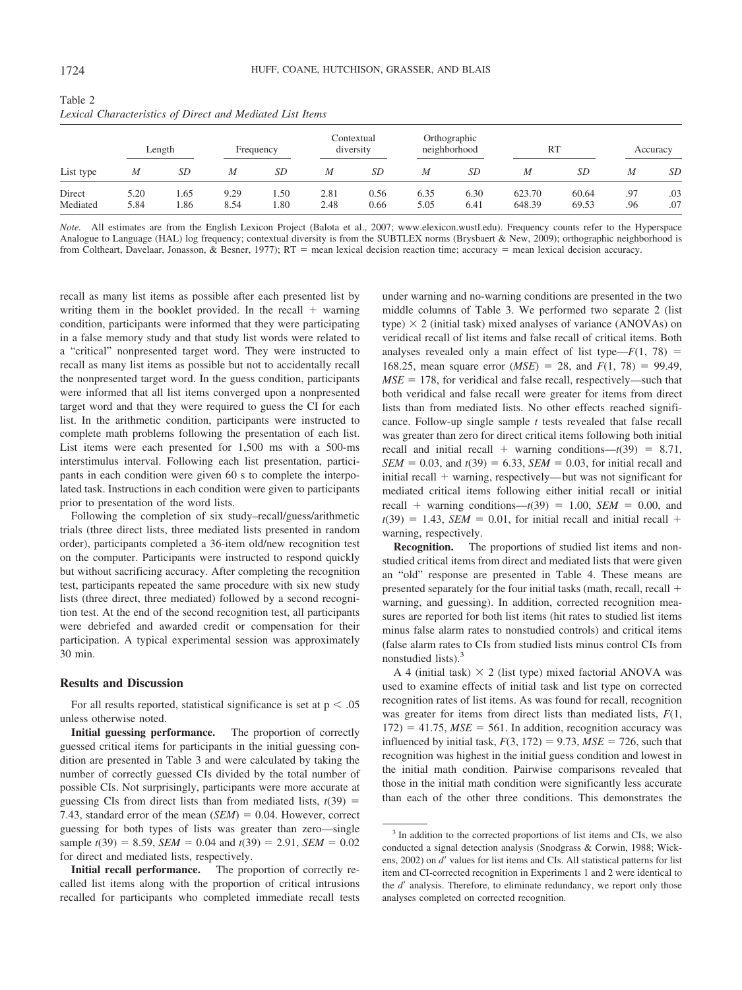| List type          | Length       |            | Frequency    |              | Contextual<br>diversity |              | Orthographic<br>neighborhood |              | RT               |                | Accuracy   |            |
|--------------------|--------------|------------|--------------|--------------|-------------------------|--------------|------------------------------|--------------|------------------|----------------|------------|------------|
|                    | M            | SD         | M            | <i>SD</i>    | M                       | SD.          | M                            | SD           | Μ                | SD             | М          | <i>SD</i>  |
| Direct<br>Mediated | 5.20<br>5.84 | .65<br>.86 | 9.29<br>8.54 | 1.50<br>1.80 | 2.81<br>2.48            | 0.56<br>0.66 | 6.35<br>5.05                 | 6.30<br>6.41 | 623.70<br>648.39 | 60.64<br>69.53 | .97<br>.96 | .03<br>.07 |

Table 2 *Lexical Characteristics of Direct and Mediated List Items*

*Note.* All estimates are from the English Lexicon Project (Balota et al., 2007; www.elexicon.wustl.edu). Frequency counts refer to the Hyperspace Analogue to Language (HAL) log frequency; contextual diversity is from the SUBTLEX norms (Brysbaert & New, 2009); orthographic neighborhood is from Coltheart, Davelaar, Jonasson, & Besner, 1977); RT = mean lexical decision reaction time; accuracy = mean lexical decision accuracy.

recall as many list items as possible after each presented list by writing them in the booklet provided. In the recall  $+$  warning condition, participants were informed that they were participating in a false memory study and that study list words were related to a "critical" nonpresented target word. They were instructed to recall as many list items as possible but not to accidentally recall the nonpresented target word. In the guess condition, participants were informed that all list items converged upon a nonpresented target word and that they were required to guess the CI for each list. In the arithmetic condition, participants were instructed to complete math problems following the presentation of each list. List items were each presented for 1,500 ms with a 500-ms interstimulus interval. Following each list presentation, participants in each condition were given 60 s to complete the interpolated task. Instructions in each condition were given to participants prior to presentation of the word lists.

Following the completion of six study–recall/guess/arithmetic trials (three direct lists, three mediated lists presented in random order), participants completed a 36-item old/new recognition test on the computer. Participants were instructed to respond quickly but without sacrificing accuracy. After completing the recognition test, participants repeated the same procedure with six new study lists (three direct, three mediated) followed by a second recognition test. At the end of the second recognition test, all participants were debriefed and awarded credit or compensation for their participation. A typical experimental session was approximately 30 min.

#### **Results and Discussion**

For all results reported, statistical significance is set at  $p < .05$ unless otherwise noted.

**Initial guessing performance.** The proportion of correctly guessed critical items for participants in the initial guessing condition are presented in Table 3 and were calculated by taking the number of correctly guessed CIs divided by the total number of possible CIs. Not surprisingly, participants were more accurate at guessing CIs from direct lists than from mediated lists,  $t(39)$  = 7.43, standard error of the mean  $(SEM) = 0.04$ . However, correct guessing for both types of lists was greater than zero—single sample  $t(39) = 8.59$ , *SEM* = 0.04 and  $t(39) = 2.91$ , *SEM* = 0.02 for direct and mediated lists, respectively.

**Initial recall performance.** The proportion of correctly recalled list items along with the proportion of critical intrusions recalled for participants who completed immediate recall tests

under warning and no-warning conditions are presented in the two middle columns of Table 3. We performed two separate 2 (list type)  $\times$  2 (initial task) mixed analyses of variance (ANOVAs) on veridical recall of list items and false recall of critical items. Both analyses revealed only a main effect of list type— $F(1, 78)$  = 168.25, mean square error (*MSE*) = 28, and  $F(1, 78) = 99.49$ ,  $MSE = 178$ , for veridical and false recall, respectively—such that both veridical and false recall were greater for items from direct lists than from mediated lists. No other effects reached significance. Follow-up single sample *t* tests revealed that false recall was greater than zero for direct critical items following both initial recall and initial recall  $+$  warning conditions— $t(39) = 8.71$ ,  $SEM = 0.03$ , and  $t(39) = 6.33$ , *SEM* = 0.03, for initial recall and initial recall  $+$  warning, respectively—but was not significant for mediated critical items following either initial recall or initial recall  $+$  warning conditions— $t(39) = 1.00$ , *SEM* = 0.00, and  $t(39) = 1.43$ , *SEM* = 0.01, for initial recall and initial recall + warning, respectively.

**Recognition.** The proportions of studied list items and nonstudied critical items from direct and mediated lists that were given an "old" response are presented in Table 4. These means are presented separately for the four initial tasks (math, recall, recall warning, and guessing). In addition, corrected recognition measures are reported for both list items (hit rates to studied list items minus false alarm rates to nonstudied controls) and critical items (false alarm rates to CIs from studied lists minus control CIs from nonstudied lists).<sup>3</sup>

A 4 (initial task)  $\times$  2 (list type) mixed factorial ANOVA was used to examine effects of initial task and list type on corrected recognition rates of list items. As was found for recall, recognition was greater for items from direct lists than mediated lists, *F*(1,  $172$ ) = 41.75,  $MSE = 561$ . In addition, recognition accuracy was influenced by initial task,  $F(3, 172) = 9.73$ ,  $MSE = 726$ , such that recognition was highest in the initial guess condition and lowest in the initial math condition. Pairwise comparisons revealed that those in the initial math condition were significantly less accurate than each of the other three conditions. This demonstrates the

<sup>&</sup>lt;sup>3</sup> In addition to the corrected proportions of list items and CIs, we also conducted a signal detection analysis (Snodgrass & Corwin, 1988; Wickens, 2002) on *d'* values for list items and CIs. All statistical patterns for list item and CI-corrected recognition in Experiments 1 and 2 were identical to the *d'* analysis. Therefore, to eliminate redundancy, we report only those analyses completed on corrected recognition.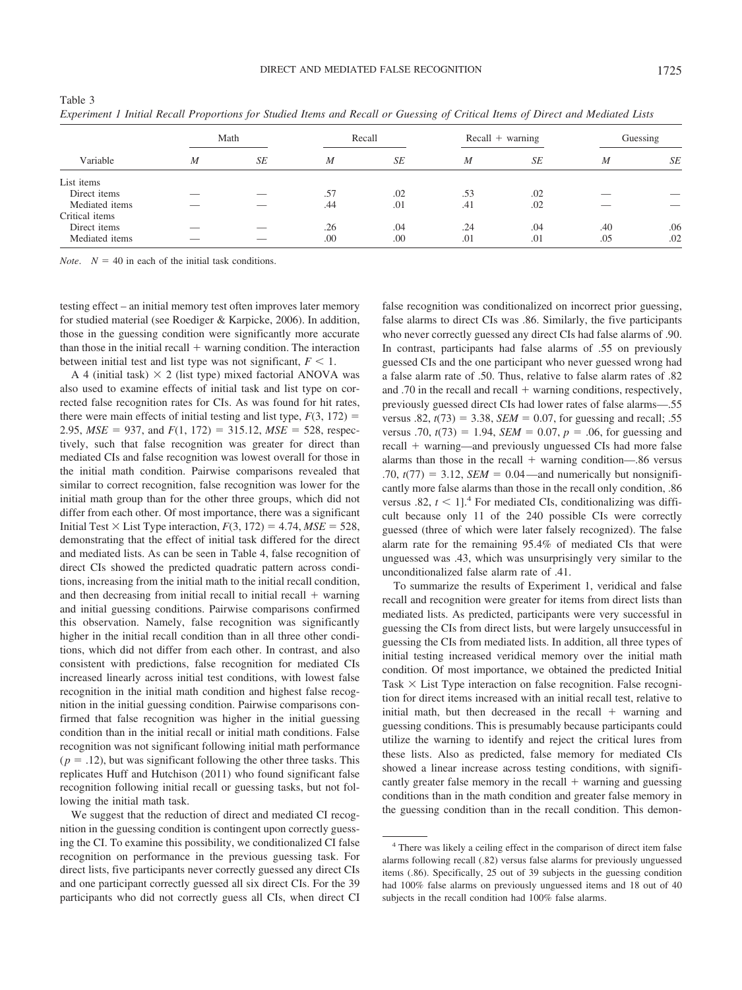|--|--|--|

|                | Math |    | Recall           |     | $Recall + warning$ |     | Guessing         |     |
|----------------|------|----|------------------|-----|--------------------|-----|------------------|-----|
| Variable       | M    | SE | $\boldsymbol{M}$ | SE  | M                  | SE  | $\boldsymbol{M}$ | SE  |
| List items     |      |    |                  |     |                    |     |                  |     |
| Direct items   |      |    | .57              | .02 | .53                | .02 |                  |     |
| Mediated items |      |    | .44              | .01 | .41                | .02 |                  |     |
| Critical items |      |    |                  |     |                    |     |                  |     |
| Direct items   |      |    | .26              | .04 | .24                | .04 | .40              | .06 |
| Mediated items |      |    | .00              | .00 | .01                | .01 | .05              | .02 |

Table 3 *Experiment 1 Initial Recall Proportions for Studied Items and Recall or Guessing of Critical Items of Direct and Mediated Lists*

*Note.*  $N = 40$  in each of the initial task conditions.

testing effect – an initial memory test often improves later memory for studied material (see Roediger & Karpicke, 2006). In addition, those in the guessing condition were significantly more accurate than those in the initial recall  $+$  warning condition. The interaction between initial test and list type was not significant,  $F < 1$ .

A 4 (initial task)  $\times$  2 (list type) mixed factorial ANOVA was also used to examine effects of initial task and list type on corrected false recognition rates for CIs. As was found for hit rates, there were main effects of initial testing and list type,  $F(3, 172) =$ 2.95,  $MSE = 937$ , and  $F(1, 172) = 315.12$ ,  $MSE = 528$ , respectively, such that false recognition was greater for direct than mediated CIs and false recognition was lowest overall for those in the initial math condition. Pairwise comparisons revealed that similar to correct recognition, false recognition was lower for the initial math group than for the other three groups, which did not differ from each other. Of most importance, there was a significant Initial Test  $\times$  List Type interaction,  $F(3, 172) = 4.74$ ,  $MSE = 528$ , demonstrating that the effect of initial task differed for the direct and mediated lists. As can be seen in Table 4, false recognition of direct CIs showed the predicted quadratic pattern across conditions, increasing from the initial math to the initial recall condition, and then decreasing from initial recall to initial recall  $+$  warning and initial guessing conditions. Pairwise comparisons confirmed this observation. Namely, false recognition was significantly higher in the initial recall condition than in all three other conditions, which did not differ from each other. In contrast, and also consistent with predictions, false recognition for mediated CIs increased linearly across initial test conditions, with lowest false recognition in the initial math condition and highest false recognition in the initial guessing condition. Pairwise comparisons confirmed that false recognition was higher in the initial guessing condition than in the initial recall or initial math conditions. False recognition was not significant following initial math performance  $(p = .12)$ , but was significant following the other three tasks. This replicates Huff and Hutchison (2011) who found significant false recognition following initial recall or guessing tasks, but not following the initial math task.

We suggest that the reduction of direct and mediated CI recognition in the guessing condition is contingent upon correctly guessing the CI. To examine this possibility, we conditionalized CI false recognition on performance in the previous guessing task. For direct lists, five participants never correctly guessed any direct CIs and one participant correctly guessed all six direct CIs. For the 39 participants who did not correctly guess all CIs, when direct CI false recognition was conditionalized on incorrect prior guessing, false alarms to direct CIs was .86. Similarly, the five participants who never correctly guessed any direct CIs had false alarms of .90. In contrast, participants had false alarms of .55 on previously guessed CIs and the one participant who never guessed wrong had a false alarm rate of .50. Thus, relative to false alarm rates of .82 and .70 in the recall and recall  $+$  warning conditions, respectively, previously guessed direct CIs had lower rates of false alarms—.55 versus .82,  $t(73) = 3.38$ , *SEM* = 0.07, for guessing and recall; .55 versus .70,  $t(73) = 1.94$ ,  $SEM = 0.07$ ,  $p = .06$ , for guessing and recall + warning—and previously unguessed CIs had more false alarms than those in the recall  $+$  warning condition—.86 versus  $.70, t(77) = 3.12, SEM = 0.04$ —and numerically but nonsignificantly more false alarms than those in the recall only condition, .86 versus .82,  $t < 1$ ].<sup>4</sup> For mediated CIs, conditionalizing was difficult because only 11 of the 240 possible CIs were correctly guessed (three of which were later falsely recognized). The false alarm rate for the remaining 95.4% of mediated CIs that were unguessed was .43, which was unsurprisingly very similar to the unconditionalized false alarm rate of .41.

To summarize the results of Experiment 1, veridical and false recall and recognition were greater for items from direct lists than mediated lists. As predicted, participants were very successful in guessing the CIs from direct lists, but were largely unsuccessful in guessing the CIs from mediated lists. In addition, all three types of initial testing increased veridical memory over the initial math condition. Of most importance, we obtained the predicted Initial Task  $\times$  List Type interaction on false recognition. False recognition for direct items increased with an initial recall test, relative to initial math, but then decreased in the recall  $+$  warning and guessing conditions. This is presumably because participants could utilize the warning to identify and reject the critical lures from these lists. Also as predicted, false memory for mediated CIs showed a linear increase across testing conditions, with significantly greater false memory in the recall  $+$  warning and guessing conditions than in the math condition and greater false memory in the guessing condition than in the recall condition. This demon-

<sup>4</sup> There was likely a ceiling effect in the comparison of direct item false alarms following recall (.82) versus false alarms for previously unguessed items (.86). Specifically, 25 out of 39 subjects in the guessing condition had 100% false alarms on previously unguessed items and 18 out of 40 subjects in the recall condition had 100% false alarms.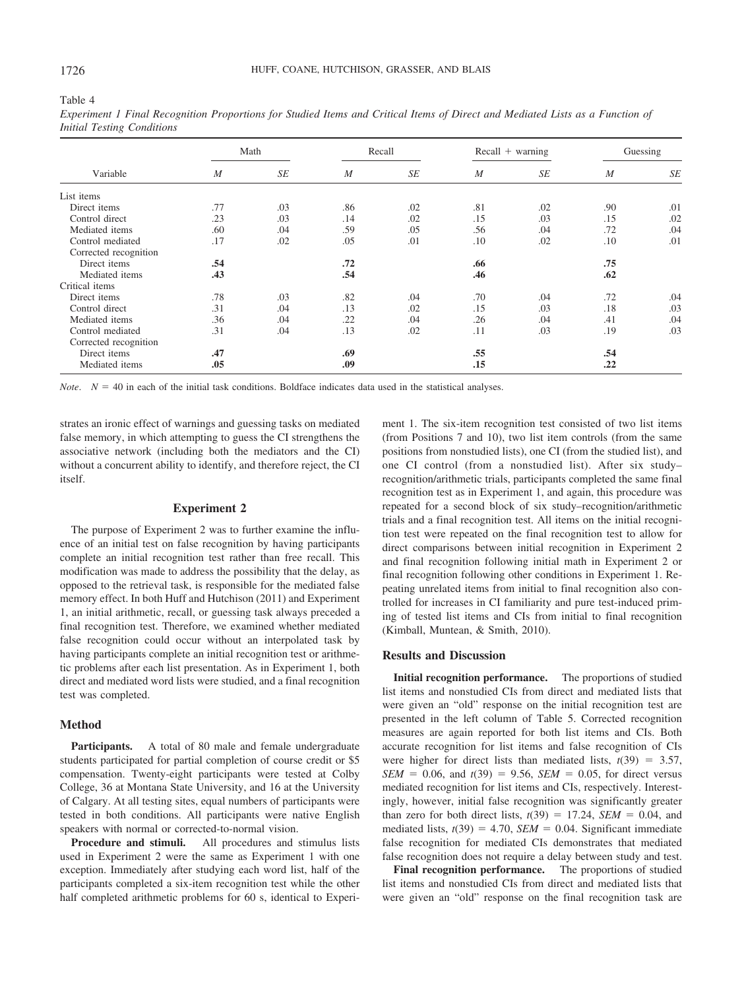|  |  | × |
|--|--|---|
|--|--|---|

Table 4

|                       | Math |     | Recall           |     | $Recall + warning$ |     | Guessing         |     |
|-----------------------|------|-----|------------------|-----|--------------------|-----|------------------|-----|
| Variable              | M    | SE  | $\boldsymbol{M}$ | SE  | M                  | SE  | $\boldsymbol{M}$ | SE  |
| List items            |      |     |                  |     |                    |     |                  |     |
| Direct items          | .77  | .03 | .86              | .02 | .81                | .02 | .90              | .01 |
| Control direct        | .23  | .03 | .14              | .02 | .15                | .03 | .15              | .02 |
| Mediated items        | .60  | .04 | .59              | .05 | .56                | .04 | .72              | .04 |
| Control mediated      | .17  | .02 | .05              | .01 | .10                | .02 | .10              | .01 |
| Corrected recognition |      |     |                  |     |                    |     |                  |     |
| Direct items          | .54  |     | .72              |     | .66                |     | .75              |     |
| Mediated items        | .43  |     | .54              |     | .46                |     | .62              |     |
| Critical items        |      |     |                  |     |                    |     |                  |     |
| Direct items          | .78  | .03 | .82              | .04 | .70                | .04 | .72              | .04 |
| Control direct        | .31  | .04 | .13              | .02 | .15                | .03 | .18              | .03 |
| Mediated items        | .36  | .04 | .22              | .04 | .26                | .04 | .41              | .04 |
| Control mediated      | .31  | .04 | .13              | .02 | .11                | .03 | .19              | .03 |
| Corrected recognition |      |     |                  |     |                    |     |                  |     |
| Direct items          | .47  |     | .69              |     | .55                |     | .54              |     |
| Mediated items        | .05  |     | .09              |     | .15                |     | .22              |     |

*Experiment 1 Final Recognition Proportions for Studied Items and Critical Items of Direct and Mediated Lists as a Function of Initial Testing Conditions*

*Note.*  $N = 40$  in each of the initial task conditions. Boldface indicates data used in the statistical analyses.

strates an ironic effect of warnings and guessing tasks on mediated false memory, in which attempting to guess the CI strengthens the associative network (including both the mediators and the CI) without a concurrent ability to identify, and therefore reject, the CI itself.

## **Experiment 2**

The purpose of Experiment 2 was to further examine the influence of an initial test on false recognition by having participants complete an initial recognition test rather than free recall. This modification was made to address the possibility that the delay, as opposed to the retrieval task, is responsible for the mediated false memory effect. In both Huff and Hutchison (2011) and Experiment 1, an initial arithmetic, recall, or guessing task always preceded a final recognition test. Therefore, we examined whether mediated false recognition could occur without an interpolated task by having participants complete an initial recognition test or arithmetic problems after each list presentation. As in Experiment 1, both direct and mediated word lists were studied, and a final recognition test was completed.

## **Method**

Participants. A total of 80 male and female undergraduate students participated for partial completion of course credit or \$5 compensation. Twenty-eight participants were tested at Colby College, 36 at Montana State University, and 16 at the University of Calgary. At all testing sites, equal numbers of participants were tested in both conditions. All participants were native English speakers with normal or corrected-to-normal vision.

**Procedure and stimuli.** All procedures and stimulus lists used in Experiment 2 were the same as Experiment 1 with one exception. Immediately after studying each word list, half of the participants completed a six-item recognition test while the other half completed arithmetic problems for 60 s, identical to Experiment 1. The six-item recognition test consisted of two list items (from Positions 7 and 10), two list item controls (from the same positions from nonstudied lists), one CI (from the studied list), and one CI control (from a nonstudied list). After six study– recognition/arithmetic trials, participants completed the same final recognition test as in Experiment 1, and again, this procedure was repeated for a second block of six study–recognition/arithmetic trials and a final recognition test. All items on the initial recognition test were repeated on the final recognition test to allow for direct comparisons between initial recognition in Experiment 2 and final recognition following initial math in Experiment 2 or final recognition following other conditions in Experiment 1. Repeating unrelated items from initial to final recognition also controlled for increases in CI familiarity and pure test-induced priming of tested list items and CIs from initial to final recognition (Kimball, Muntean, & Smith, 2010).

#### **Results and Discussion**

**Initial recognition performance.** The proportions of studied list items and nonstudied CIs from direct and mediated lists that were given an "old" response on the initial recognition test are presented in the left column of Table 5. Corrected recognition measures are again reported for both list items and CIs. Both accurate recognition for list items and false recognition of CIs were higher for direct lists than mediated lists,  $t(39) = 3.57$ ,  $SEM = 0.06$ , and  $t(39) = 9.56$ , *SEM* = 0.05, for direct versus mediated recognition for list items and CIs, respectively. Interestingly, however, initial false recognition was significantly greater than zero for both direct lists,  $t(39) = 17.24$ , *SEM* = 0.04, and mediated lists,  $t(39) = 4.70$ , *SEM* = 0.04. Significant immediate false recognition for mediated CIs demonstrates that mediated false recognition does not require a delay between study and test.

**Final recognition performance.** The proportions of studied list items and nonstudied CIs from direct and mediated lists that were given an "old" response on the final recognition task are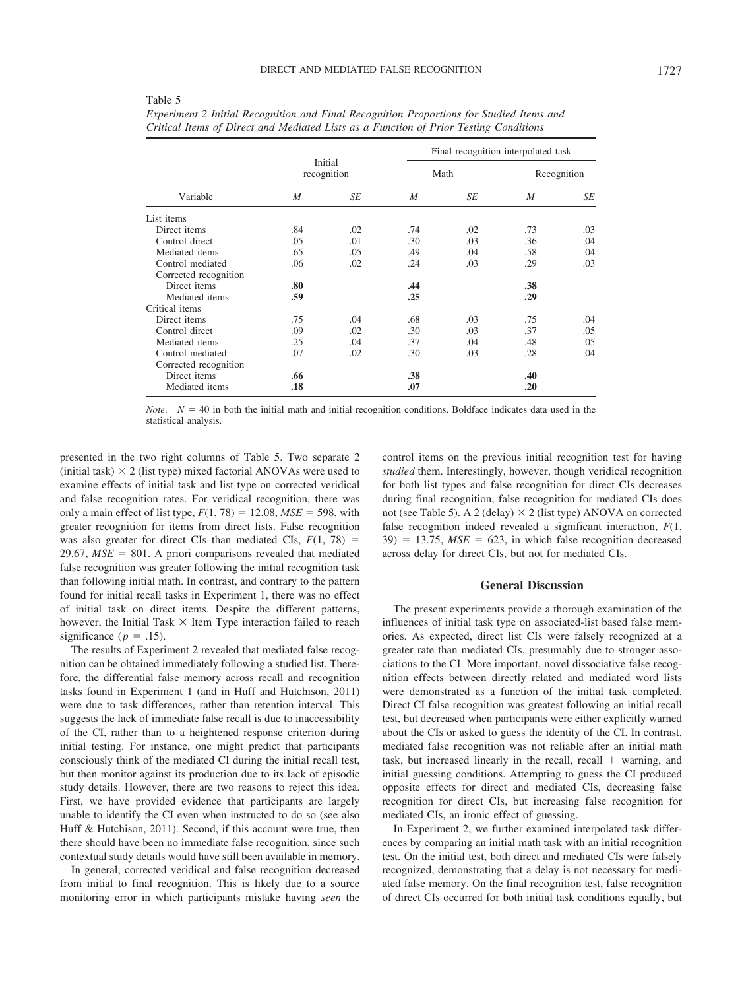|                       |     |                        | Final recognition interpolated task |      |             |     |  |  |
|-----------------------|-----|------------------------|-------------------------------------|------|-------------|-----|--|--|
|                       |     | Initial<br>recognition |                                     | Math | Recognition |     |  |  |
| Variable              | M   | SE                     | M                                   | SЕ   | M           | SE  |  |  |
| List items            |     |                        |                                     |      |             |     |  |  |
| Direct items          | .84 | .02                    | .74                                 | .02  | .73         | .03 |  |  |
| Control direct        | .05 | .01                    | .30                                 | .03  | .36         | .04 |  |  |
| Mediated items        | .65 | .05                    | .49                                 | .04  | .58         | .04 |  |  |
| Control mediated      | .06 | .02                    | .24                                 | .03  | .29         | .03 |  |  |
| Corrected recognition |     |                        |                                     |      |             |     |  |  |
| Direct items          | .80 |                        | .44                                 |      | .38         |     |  |  |
| Mediated items        | .59 |                        | .25                                 |      | .29         |     |  |  |
| Critical items        |     |                        |                                     |      |             |     |  |  |
| Direct items          | .75 | .04                    | .68                                 | .03  | .75         | .04 |  |  |
| Control direct        | .09 | .02                    | .30                                 | .03  | .37         | .05 |  |  |
| Mediated items        | .25 | .04                    | .37                                 | .04  | .48         | .05 |  |  |
| Control mediated      | .07 | .02                    | .30                                 | .03  | .28         | .04 |  |  |
| Corrected recognition |     |                        |                                     |      |             |     |  |  |
| Direct items          | .66 |                        | .38                                 |      | .40         |     |  |  |
| Mediated items        | .18 |                        | .07                                 |      | .20         |     |  |  |

*Experiment 2 Initial Recognition and Final Recognition Proportions for Studied Items and Critical Items of Direct and Mediated Lists as a Function of Prior Testing Conditions*

*Note.*  $N = 40$  in both the initial math and initial recognition conditions. Boldface indicates data used in the statistical analysis.

presented in the two right columns of Table 5. Two separate 2 (initial task)  $\times$  2 (list type) mixed factorial ANOVAs were used to examine effects of initial task and list type on corrected veridical and false recognition rates. For veridical recognition, there was only a main effect of list type,  $F(1, 78) = 12.08$ ,  $MSE = 598$ , with greater recognition for items from direct lists. False recognition was also greater for direct CIs than mediated CIs,  $F(1, 78) =$  $29.67$ ,  $MSE = 801$ . A priori comparisons revealed that mediated false recognition was greater following the initial recognition task than following initial math. In contrast, and contrary to the pattern found for initial recall tasks in Experiment 1, there was no effect of initial task on direct items. Despite the different patterns, however, the Initial Task  $\times$  Item Type interaction failed to reach significance ( $p = .15$ ).

Table 5

The results of Experiment 2 revealed that mediated false recognition can be obtained immediately following a studied list. Therefore, the differential false memory across recall and recognition tasks found in Experiment 1 (and in Huff and Hutchison, 2011) were due to task differences, rather than retention interval. This suggests the lack of immediate false recall is due to inaccessibility of the CI, rather than to a heightened response criterion during initial testing. For instance, one might predict that participants consciously think of the mediated CI during the initial recall test, but then monitor against its production due to its lack of episodic study details. However, there are two reasons to reject this idea. First, we have provided evidence that participants are largely unable to identify the CI even when instructed to do so (see also Huff & Hutchison, 2011). Second, if this account were true, then there should have been no immediate false recognition, since such contextual study details would have still been available in memory.

In general, corrected veridical and false recognition decreased from initial to final recognition. This is likely due to a source monitoring error in which participants mistake having *seen* the control items on the previous initial recognition test for having *studied* them. Interestingly, however, though veridical recognition for both list types and false recognition for direct CIs decreases during final recognition, false recognition for mediated CIs does not (see Table 5). A 2 (delay)  $\times$  2 (list type) ANOVA on corrected false recognition indeed revealed a significant interaction, *F*(1,  $39$  = 13.75,  $MSE = 623$ , in which false recognition decreased across delay for direct CIs, but not for mediated CIs.

## **General Discussion**

The present experiments provide a thorough examination of the influences of initial task type on associated-list based false memories. As expected, direct list CIs were falsely recognized at a greater rate than mediated CIs, presumably due to stronger associations to the CI. More important, novel dissociative false recognition effects between directly related and mediated word lists were demonstrated as a function of the initial task completed. Direct CI false recognition was greatest following an initial recall test, but decreased when participants were either explicitly warned about the CIs or asked to guess the identity of the CI. In contrast, mediated false recognition was not reliable after an initial math task, but increased linearly in the recall, recall  $+$  warning, and initial guessing conditions. Attempting to guess the CI produced opposite effects for direct and mediated CIs, decreasing false recognition for direct CIs, but increasing false recognition for mediated CIs, an ironic effect of guessing.

In Experiment 2, we further examined interpolated task differences by comparing an initial math task with an initial recognition test. On the initial test, both direct and mediated CIs were falsely recognized, demonstrating that a delay is not necessary for mediated false memory. On the final recognition test, false recognition of direct CIs occurred for both initial task conditions equally, but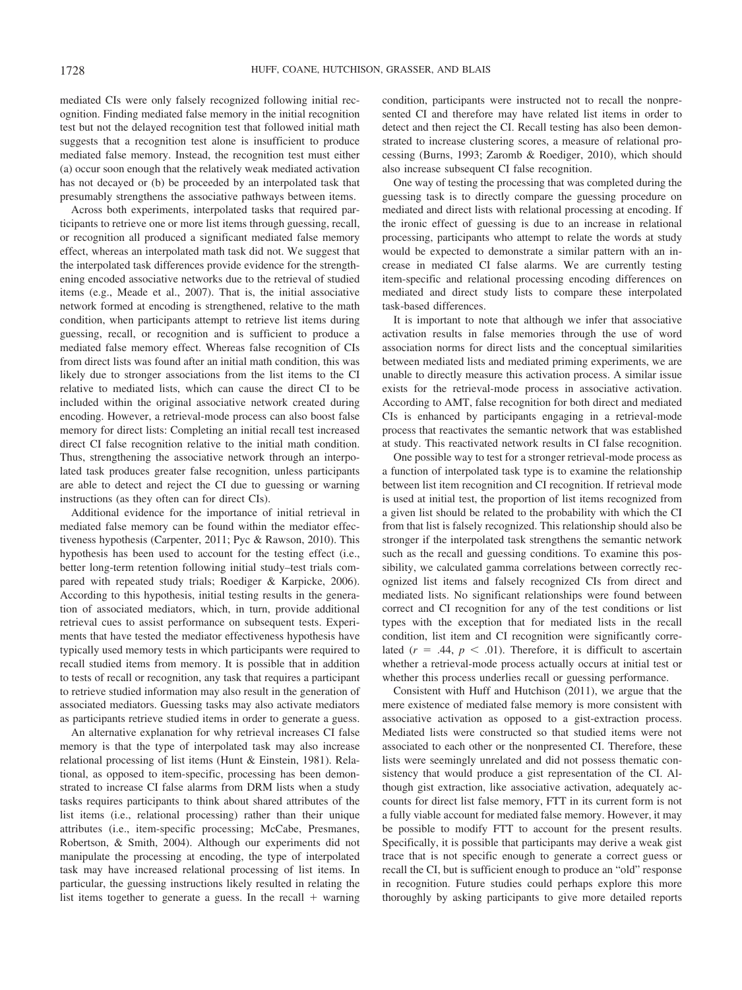mediated CIs were only falsely recognized following initial recognition. Finding mediated false memory in the initial recognition test but not the delayed recognition test that followed initial math suggests that a recognition test alone is insufficient to produce mediated false memory. Instead, the recognition test must either (a) occur soon enough that the relatively weak mediated activation has not decayed or (b) be proceeded by an interpolated task that presumably strengthens the associative pathways between items.

Across both experiments, interpolated tasks that required participants to retrieve one or more list items through guessing, recall, or recognition all produced a significant mediated false memory effect, whereas an interpolated math task did not. We suggest that the interpolated task differences provide evidence for the strengthening encoded associative networks due to the retrieval of studied items (e.g., Meade et al., 2007). That is, the initial associative network formed at encoding is strengthened, relative to the math condition, when participants attempt to retrieve list items during guessing, recall, or recognition and is sufficient to produce a mediated false memory effect. Whereas false recognition of CIs from direct lists was found after an initial math condition, this was likely due to stronger associations from the list items to the CI relative to mediated lists, which can cause the direct CI to be included within the original associative network created during encoding. However, a retrieval-mode process can also boost false memory for direct lists: Completing an initial recall test increased direct CI false recognition relative to the initial math condition. Thus, strengthening the associative network through an interpolated task produces greater false recognition, unless participants are able to detect and reject the CI due to guessing or warning instructions (as they often can for direct CIs).

Additional evidence for the importance of initial retrieval in mediated false memory can be found within the mediator effectiveness hypothesis (Carpenter, 2011; Pyc & Rawson, 2010). This hypothesis has been used to account for the testing effect (i.e., better long-term retention following initial study–test trials compared with repeated study trials; Roediger & Karpicke, 2006). According to this hypothesis, initial testing results in the generation of associated mediators, which, in turn, provide additional retrieval cues to assist performance on subsequent tests. Experiments that have tested the mediator effectiveness hypothesis have typically used memory tests in which participants were required to recall studied items from memory. It is possible that in addition to tests of recall or recognition, any task that requires a participant to retrieve studied information may also result in the generation of associated mediators. Guessing tasks may also activate mediators as participants retrieve studied items in order to generate a guess.

An alternative explanation for why retrieval increases CI false memory is that the type of interpolated task may also increase relational processing of list items (Hunt & Einstein, 1981). Relational, as opposed to item-specific, processing has been demonstrated to increase CI false alarms from DRM lists when a study tasks requires participants to think about shared attributes of the list items (i.e., relational processing) rather than their unique attributes (i.e., item-specific processing; McCabe, Presmanes, Robertson, & Smith, 2004). Although our experiments did not manipulate the processing at encoding, the type of interpolated task may have increased relational processing of list items. In particular, the guessing instructions likely resulted in relating the list items together to generate a guess. In the recall  $+$  warning

condition, participants were instructed not to recall the nonpresented CI and therefore may have related list items in order to detect and then reject the CI. Recall testing has also been demonstrated to increase clustering scores, a measure of relational processing (Burns, 1993; Zaromb & Roediger, 2010), which should also increase subsequent CI false recognition.

One way of testing the processing that was completed during the guessing task is to directly compare the guessing procedure on mediated and direct lists with relational processing at encoding. If the ironic effect of guessing is due to an increase in relational processing, participants who attempt to relate the words at study would be expected to demonstrate a similar pattern with an increase in mediated CI false alarms. We are currently testing item-specific and relational processing encoding differences on mediated and direct study lists to compare these interpolated task-based differences.

It is important to note that although we infer that associative activation results in false memories through the use of word association norms for direct lists and the conceptual similarities between mediated lists and mediated priming experiments, we are unable to directly measure this activation process. A similar issue exists for the retrieval-mode process in associative activation. According to AMT, false recognition for both direct and mediated CIs is enhanced by participants engaging in a retrieval-mode process that reactivates the semantic network that was established at study. This reactivated network results in CI false recognition.

One possible way to test for a stronger retrieval-mode process as a function of interpolated task type is to examine the relationship between list item recognition and CI recognition. If retrieval mode is used at initial test, the proportion of list items recognized from a given list should be related to the probability with which the CI from that list is falsely recognized. This relationship should also be stronger if the interpolated task strengthens the semantic network such as the recall and guessing conditions. To examine this possibility, we calculated gamma correlations between correctly recognized list items and falsely recognized CIs from direct and mediated lists. No significant relationships were found between correct and CI recognition for any of the test conditions or list types with the exception that for mediated lists in the recall condition, list item and CI recognition were significantly correlated  $(r = .44, p < .01)$ . Therefore, it is difficult to ascertain whether a retrieval-mode process actually occurs at initial test or whether this process underlies recall or guessing performance.

Consistent with Huff and Hutchison (2011), we argue that the mere existence of mediated false memory is more consistent with associative activation as opposed to a gist-extraction process. Mediated lists were constructed so that studied items were not associated to each other or the nonpresented CI. Therefore, these lists were seemingly unrelated and did not possess thematic consistency that would produce a gist representation of the CI. Although gist extraction, like associative activation, adequately accounts for direct list false memory, FTT in its current form is not a fully viable account for mediated false memory. However, it may be possible to modify FTT to account for the present results. Specifically, it is possible that participants may derive a weak gist trace that is not specific enough to generate a correct guess or recall the CI, but is sufficient enough to produce an "old" response in recognition. Future studies could perhaps explore this more thoroughly by asking participants to give more detailed reports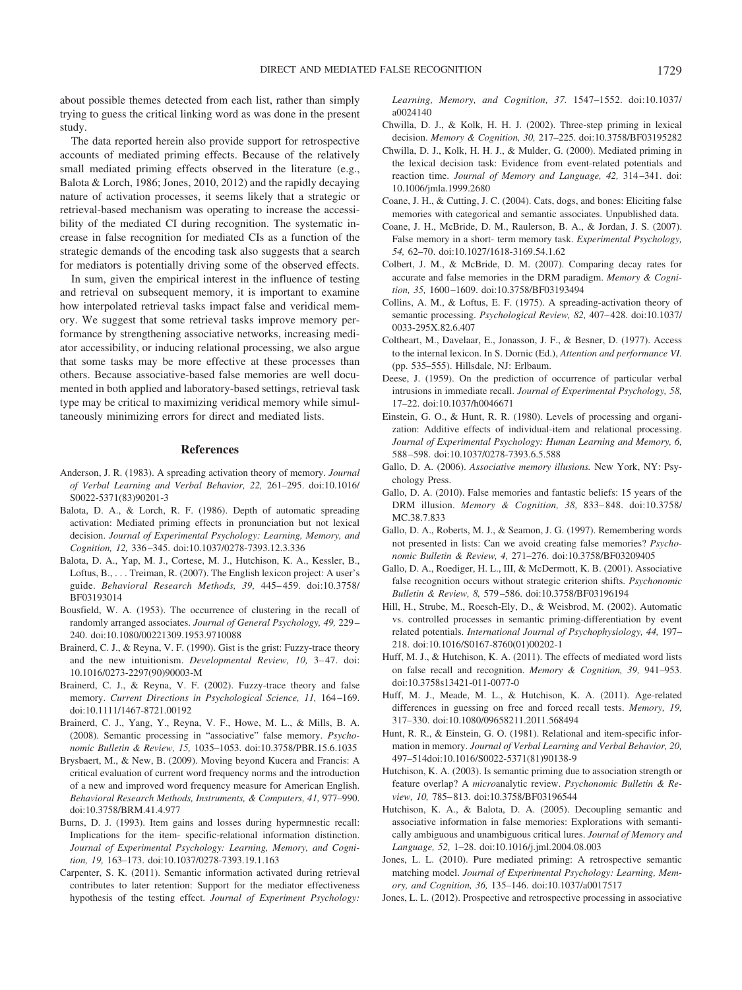about possible themes detected from each list, rather than simply trying to guess the critical linking word as was done in the present study.

The data reported herein also provide support for retrospective accounts of mediated priming effects. Because of the relatively small mediated priming effects observed in the literature (e.g., Balota & Lorch, 1986; Jones, 2010, 2012) and the rapidly decaying nature of activation processes, it seems likely that a strategic or retrieval-based mechanism was operating to increase the accessibility of the mediated CI during recognition. The systematic increase in false recognition for mediated CIs as a function of the strategic demands of the encoding task also suggests that a search for mediators is potentially driving some of the observed effects.

In sum, given the empirical interest in the influence of testing and retrieval on subsequent memory, it is important to examine how interpolated retrieval tasks impact false and veridical memory. We suggest that some retrieval tasks improve memory performance by strengthening associative networks, increasing mediator accessibility, or inducing relational processing, we also argue that some tasks may be more effective at these processes than others. Because associative-based false memories are well documented in both applied and laboratory-based settings, retrieval task type may be critical to maximizing veridical memory while simultaneously minimizing errors for direct and mediated lists.

#### **References**

- Anderson, J. R. (1983). A spreading activation theory of memory. *Journal of Verbal Learning and Verbal Behavior, 22,* 261–295. doi:10.1016/ S0022-5371(83)90201-3
- Balota, D. A., & Lorch, R. F. (1986). Depth of automatic spreading activation: Mediated priming effects in pronunciation but not lexical decision. *Journal of Experimental Psychology: Learning, Memory, and Cognition, 12,* 336 –345. doi:10.1037/0278-7393.12.3.336
- Balota, D. A., Yap, M. J., Cortese, M. J., Hutchison, K. A., Kessler, B., Loftus, B., . . . Treiman, R. (2007). The English lexicon project: A user's guide. *Behavioral Research Methods, 39,* 445– 459. doi:10.3758/ BF03193014
- Bousfield, W. A. (1953). The occurrence of clustering in the recall of randomly arranged associates. *Journal of General Psychology, 49,* 229 – 240. doi:10.1080/00221309.1953.9710088
- Brainerd, C. J., & Reyna, V. F. (1990). Gist is the grist: Fuzzy-trace theory and the new intuitionism. *Developmental Review, 10, 3*-47. doi: 10.1016/0273-2297(90)90003-M
- Brainerd, C. J., & Reyna, V. F. (2002). Fuzzy-trace theory and false memory. *Current Directions in Psychological Science, 11,* 164 –169. doi:10.1111/1467-8721.00192
- Brainerd, C. J., Yang, Y., Reyna, V. F., Howe, M. L., & Mills, B. A. (2008). Semantic processing in "associative" false memory. *Psychonomic Bulletin & Review, 15,* 1035–1053. doi:10.3758/PBR.15.6.1035
- Brysbaert, M., & New, B. (2009). Moving beyond Kucera and Francis: A critical evaluation of current word frequency norms and the introduction of a new and improved word frequency measure for American English. *Behavioral Research Methods, Instruments, & Computers, 41,* 977–990. doi:10.3758/BRM.41.4.977
- Burns, D. J. (1993). Item gains and losses during hypermnestic recall: Implications for the item- specific-relational information distinction. *Journal of Experimental Psychology: Learning, Memory, and Cognition, 19,* 163–173. doi:10.1037/0278-7393.19.1.163
- Carpenter, S. K. (2011). Semantic information activated during retrieval contributes to later retention: Support for the mediator effectiveness hypothesis of the testing effect. *Journal of Experiment Psychology:*

*Learning, Memory, and Cognition, 37.* 1547–1552. doi:10.1037/ a0024140

- Chwilla, D. J., & Kolk, H. H. J. (2002). Three-step priming in lexical decision. *Memory & Cognition, 30,* 217–225. doi:10.3758/BF03195282
- Chwilla, D. J., Kolk, H. H. J., & Mulder, G. (2000). Mediated priming in the lexical decision task: Evidence from event-related potentials and reaction time. *Journal of Memory and Language, 42,* 314 –341. doi: 10.1006/jmla.1999.2680
- Coane, J. H., & Cutting, J. C. (2004). Cats, dogs, and bones: Eliciting false memories with categorical and semantic associates. Unpublished data.
- Coane, J. H., McBride, D. M., Raulerson, B. A., & Jordan, J. S. (2007). False memory in a short- term memory task. *Experimental Psychology, 54,* 62–70. doi:10.1027/1618-3169.54.1.62
- Colbert, J. M., & McBride, D. M. (2007). Comparing decay rates for accurate and false memories in the DRM paradigm. *Memory & Cognition, 35,* 1600 –1609. doi:10.3758/BF03193494
- Collins, A. M., & Loftus, E. F. (1975). A spreading-activation theory of semantic processing. *Psychological Review, 82, 407-428. doi:10.1037/* 0033-295X.82.6.407
- Coltheart, M., Davelaar, E., Jonasson, J. F., & Besner, D. (1977). Access to the internal lexicon. In S. Dornic (Ed.), *Attention and performance VI.* (pp. 535–555). Hillsdale, NJ: Erlbaum.
- Deese, J. (1959). On the prediction of occurrence of particular verbal intrusions in immediate recall. *Journal of Experimental Psychology, 58,* 17–22. doi:10.1037/h0046671
- Einstein, G. O., & Hunt, R. R. (1980). Levels of processing and organization: Additive effects of individual-item and relational processing. *Journal of Experimental Psychology: Human Learning and Memory, 6,* 588 –598. doi:10.1037/0278-7393.6.5.588
- Gallo, D. A. (2006). *Associative memory illusions.* New York, NY: Psychology Press.
- Gallo, D. A. (2010). False memories and fantastic beliefs: 15 years of the DRM illusion. *Memory & Cognition, 38,* 833– 848. doi:10.3758/ MC.38.7.833
- Gallo, D. A., Roberts, M. J., & Seamon, J. G. (1997). Remembering words not presented in lists: Can we avoid creating false memories? *Psychonomic Bulletin & Review, 4,* 271–276. doi:10.3758/BF03209405
- Gallo, D. A., Roediger, H. L., III, & McDermott, K. B. (2001). Associative false recognition occurs without strategic criterion shifts. *Psychonomic Bulletin & Review, 8,* 579 –586. doi:10.3758/BF03196194
- Hill, H., Strube, M., Roesch-Ely, D., & Weisbrod, M. (2002). Automatic vs. controlled processes in semantic priming-differentiation by event related potentials. *International Journal of Psychophysiology, 44,* 197– 218. doi:10.1016/S0167-8760(01)00202-1
- Huff, M. J., & Hutchison, K. A. (2011). The effects of mediated word lists on false recall and recognition. *Memory & Cognition, 39,* 941–953. doi:10.3758s13421-011-0077-0
- Huff, M. J., Meade, M. L., & Hutchison, K. A. (2011). Age-related differences in guessing on free and forced recall tests. *Memory, 19,* 317–330. doi:10.1080/09658211.2011.568494
- Hunt, R. R., & Einstein, G. O. (1981). Relational and item-specific information in memory. *Journal of Verbal Learning and Verbal Behavior, 20,* 497–514doi:10.1016/S0022-5371(81)90138-9
- Hutchison, K. A. (2003). Is semantic priming due to association strength or feature overlap? A *micro*analytic review. *Psychonomic Bulletin & Review, 10,* 785– 813. doi:10.3758/BF03196544
- Hutchison, K. A., & Balota, D. A. (2005). Decoupling semantic and associative information in false memories: Explorations with semantically ambiguous and unambiguous critical lures. *Journal of Memory and Language, 52,* 1–28. doi:10.1016/j.jml.2004.08.003
- Jones, L. L. (2010). Pure mediated priming: A retrospective semantic matching model. *Journal of Experimental Psychology: Learning, Memory, and Cognition, 36,* 135–146. doi:10.1037/a0017517
- Jones, L. L. (2012). Prospective and retrospective processing in associative